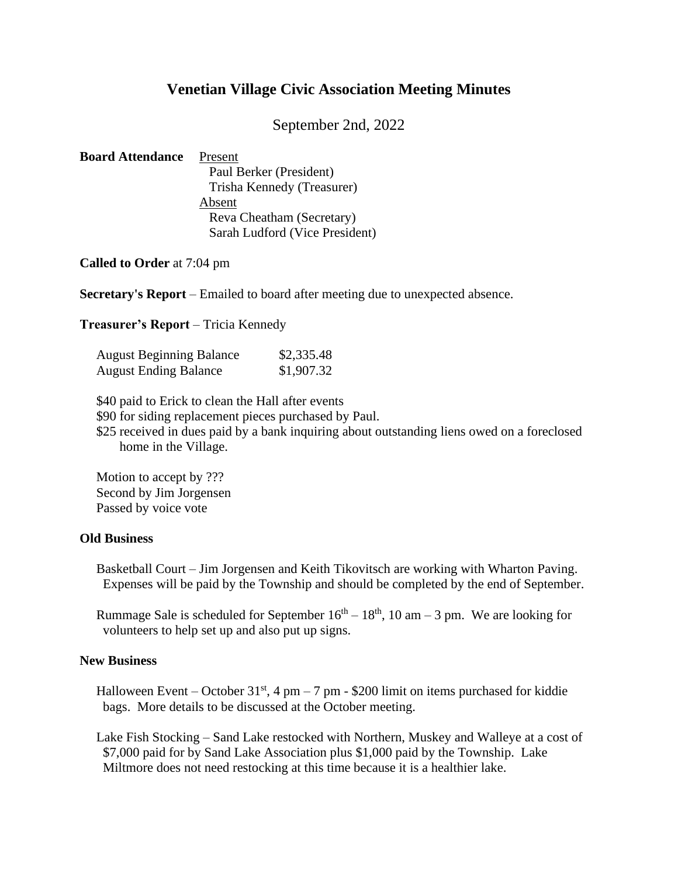## **Venetian Village Civic Association Meeting Minutes**

September 2nd, 2022

| <b>Board Attendance</b> | Present                        |
|-------------------------|--------------------------------|
|                         | Paul Berker (President)        |
|                         | Trisha Kennedy (Treasurer)     |
|                         | Absent                         |
|                         | Reva Cheatham (Secretary)      |
|                         | Sarah Ludford (Vice President) |

**Called to Order** at 7:04 pm

**Secretary's Report** – Emailed to board after meeting due to unexpected absence.

**Treasurer's Report** – Tricia Kennedy

| <b>August Beginning Balance</b> | \$2,335.48 |
|---------------------------------|------------|
| <b>August Ending Balance</b>    | \$1,907.32 |

\$40 paid to Erick to clean the Hall after events

\$90 for siding replacement pieces purchased by Paul.

\$25 received in dues paid by a bank inquiring about outstanding liens owed on a foreclosed home in the Village.

Motion to accept by ??? Second by Jim Jorgensen Passed by voice vote

## **Old Business**

 Basketball Court – Jim Jorgensen and Keith Tikovitsch are working with Wharton Paving. Expenses will be paid by the Township and should be completed by the end of September.

Rummage Sale is scheduled for September  $16<sup>th</sup> - 18<sup>th</sup>$ , 10 am  $- 3$  pm. We are looking for volunteers to help set up and also put up signs.

## **New Business**

Halloween Event – October  $31<sup>st</sup>$ , 4 pm – 7 pm - \$200 limit on items purchased for kiddie bags. More details to be discussed at the October meeting.

 Lake Fish Stocking – Sand Lake restocked with Northern, Muskey and Walleye at a cost of \$7,000 paid for by Sand Lake Association plus \$1,000 paid by the Township. Lake Miltmore does not need restocking at this time because it is a healthier lake.